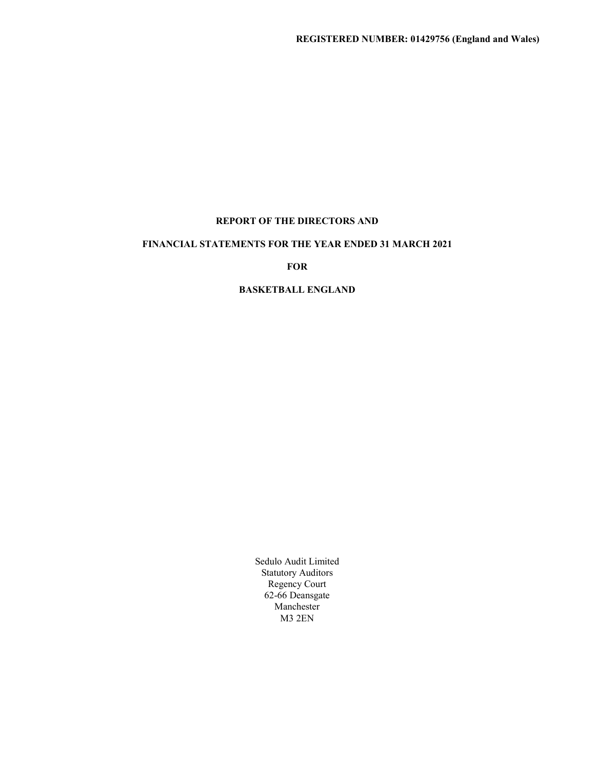# REPORT OF THE DIRECTORS AND

# FINANCIAL STATEMENTS FOR THE YEAR ENDED 31 MARCH 2021

FOR **FOR** 

# BASKETBALL ENGLAND

Sedulo Audit Limited Statutory Auditors Regency Court 62-66 Deansgate Manchester M3 2EN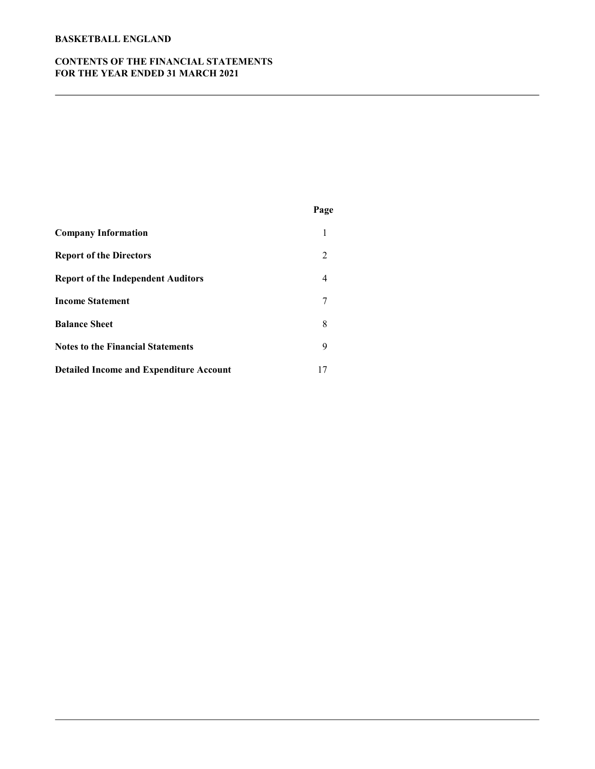# CONTENTS OF THE FINANCIAL STATEMENTS FOR THE YEAR ENDED 31 MARCH 2021

|                                                | Page           |  |
|------------------------------------------------|----------------|--|
| <b>Company Information</b>                     | 1              |  |
| <b>Report of the Directors</b>                 | 2              |  |
| <b>Report of the Independent Auditors</b>      | $\overline{4}$ |  |
| <b>Income Statement</b>                        | 7              |  |
| <b>Balance Sheet</b>                           | 8              |  |
| <b>Notes to the Financial Statements</b>       | 9              |  |
| <b>Detailed Income and Expenditure Account</b> | 17             |  |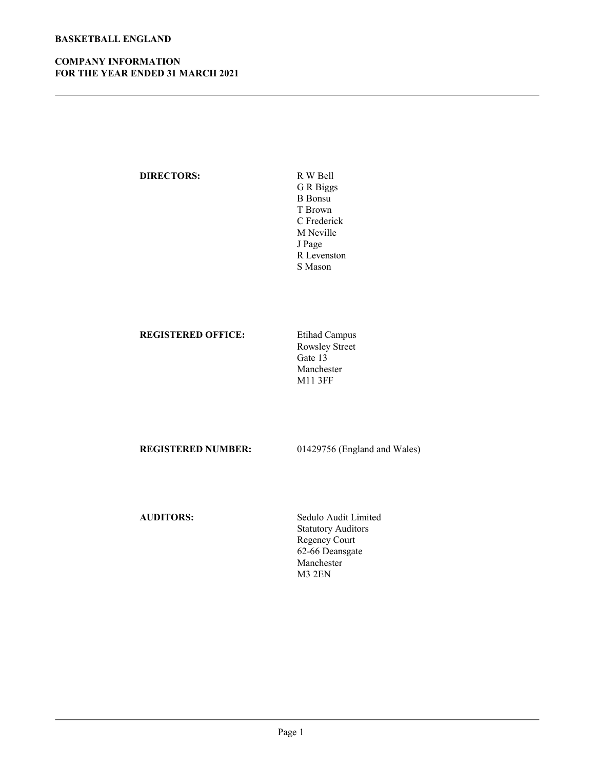# COMPANY INFORMATION FOR THE YEAR ENDED 31 MARCH 2021

# DIRECTORS: R W Bell

G R Biggs B Bonsu T Brown C Frederick M Neville J Page R Levenston S Mason

# REGISTERED OFFICE: Etihad Campus

Rowsley Street Gate 13 Manchester M11 3FF

REGISTERED NUMBER: 01429756 (England and Wales)

AUDITORS: Sedulo Audit Limited Statutory Auditors Regency Court 62-66 Deansgate Manchester M3 2EN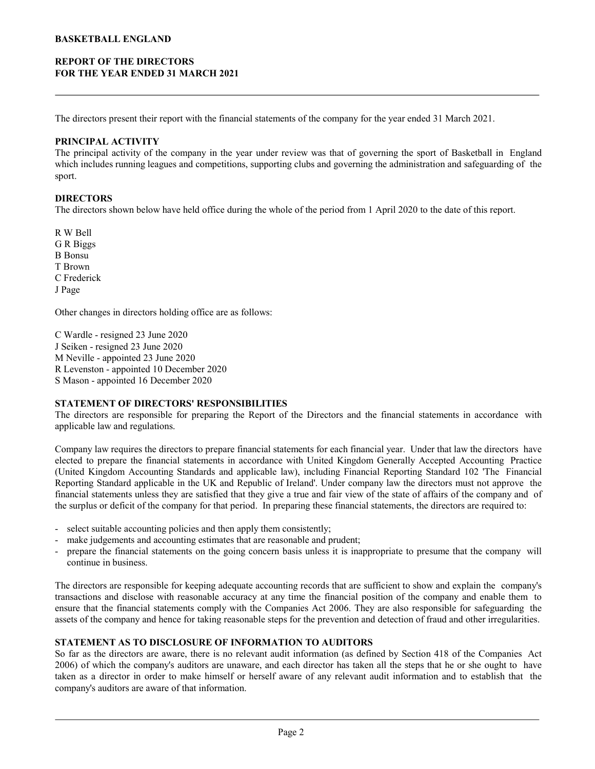# REPORT OF THE DIRECTORS FOR THE YEAR ENDED 31 MARCH 2021

The directors present their report with the financial statements of the company for the year ended 31 March 2021.

#### PRINCIPAL ACTIVITY

**EXERTBALL ENGLAND**<br> **THE VEAR ENDED 31 MARCH 2021**<br>
The directors present their report with the financial statements of the company for the year ended 31 March 2021.<br> **PRINCIPAL ACTIVITY**<br>
The principal activity of the co **BASKETBALL ENGLAND**<br>**FOR THE YEAR ENDED 31 MARCH 2021**<br>The directors present their report with the financial statements of the company for the year ended 31 March 2021.<br>**PRINCIPAL ACTIVITY**<br>The principal activity of the c sport.

#### DIRECTORS

The directors shown below have held office during the whole of the period from 1 April 2020 to the date of this report.

R W Bell G R Biggs B Bonsu T Brown C Frederick J Page

Other changes in directors holding office are as follows:

C Wardle - resigned 23 June 2020 J Seiken - resigned 23 June 2020 M Neville - appointed 23 June 2020 R Levenston - appointed 10 December 2020 S Mason - appointed 16 December 2020

# STATEMENT OF DIRECTORS' RESPONSIBILITIES

applicable law and regulations.

which meltides rumming leagues and competitions, supporting clubs and governing the administration and sategoartheory<br>
The directors shown helow have held office during the whole of the period from 1 April 2020 to the date **DIRECTORS**<br> **COMPACTORS**<br>
The directors shown helow have held office during the whole of the period from 1 April 2020 to the date of this report.<br>
R W Bell<br>
R Dorsa<br>
R Dorsa<br>
B Dorsa<br>
C Frederick<br>
C Proderick<br>
C Proderick The directiors shown helow have held office during the whole of the period from 1 April 2020 to the date of this report.<br>
C R Biggs<br>
R Bonst<br>
C R Biggs<br>
H Brown<br>
C Predeck<br>
C Predeck<br>
C Predeck<br>
C Predeck<br>
C Practice are t R W Bell<br>
G R Biggs<br>
G R Riggs<br>
B Bonsu<br>
D'erederick<br>
C Proderick<br>
C Prederick<br>
C Prederick<br>
C Prederick<br>
C Prederick<br>
R Levention - appointed 2.3 June 2020<br>
M Neville - appointed 2.3 June 2020<br>
STATEMENT OF DIRECTORS' RES R Whell<br>
REPORT THE THE TRIGGES<br>
C TRederick<br>
C Trederick<br>
C Trederick<br>
C Trederick<br>
C Wardle - resigned 23 June 2020<br>
M Keville - appointed 10 December 2020<br>
M Keville - appointed 10 December 2020<br>
S Mason - appointed 10 Civitation and the statements under the statements under the statements under the statements under the statements of the Statements under the statements of the statements in accordance of Marchine and the statements in acc the surplus or deficit of the company for that period. In preparing these financial statements, the directors are required to: C Frederick<br>
Page<br>
Other changes in directors holding office are as follows:<br>
C Wardle - resigned 23 June 2020<br>
N Seiken - resigned 23 June 2020<br>
M Neville - appointed 10 December 2020<br>
R Levenston - appointed 10 December J Page<br>
Other changes in directors holding office are as follows:<br>
C Wardle - resigned 23 June 2020<br>
IS Sicken - resigned 23 June 2020<br>
M Neville - appointed 10 December 2020<br>
N Levenston - appointed 10 December 2020<br>
ELEV Other changes in directors holding office are as follows:<br>
C Warelle - resigned 23 June 2020<br>
20 Necerns - resigned 23 June 2020<br>
20 Necerns - propinted 23 June 2020<br>
SMACS - SC MACS - SC MACS - SC MACS - SC MACS - SC MACS C Wurtle - responsible 23 June 2020<br>
Nicolar- resigned 23 June 2020<br>
Nicovide - appointed 16 December 2020<br>
Nicovide - appointed 16 December 2020<br>
Nicovide The Directors are responsible for proparing the Report of the Dire I Section Textopara 23 June 2020<br>
NEVEN TENENT COP DIRECTORS' RESPONSIBILITIES<br>
RLECTORS' RESPONSIBILITIES<br>
TENTEMENT OF DIRECTORS' RESPONSIBILITIES<br>
The directors are responsible for preparing the Report of the Directors M Neville - apported 23 dame 2020<br>
St Rusers are responsed 10 December 2020<br>
ST ETEMENT OF DIRECTORS' RESPONSIBILITIES<br>
ST ETEMENT OF DIRECTORS' RESPONSIBILITIES<br>
ST ETEMENT OF DIRECTORS' RESPONSIBILITIES<br>
The directors ar SVATEMENT OF DIRERCTORSY RESSPONSIBIT.ITENTS<br>The director of DIRERCTORSY RESPONSIBITED The Directors and the financial statements in accordance with<br>applicable law and regulations.<br>Company hav requires the directors to pr The direct of the company and the company the Report of the Directors and the Hunnell statements in accordance with<br>Company law requires the directors to prepare financial statements for each financial year. Under that law upphuable law and regulations.<br>Company hav requires the director so prepare financial statements for each financial year. Under that law the directors have<br>cleeded to prepare the financial statements in accordance with Uni

- 
- 
- continue in business.

assets of the company and hence for taking reasonable steps for the prevention and detection of fraud and other irregularities.

#### STATEMENT AS TO DISCLOSURE OF INFORMATION TO AUDITORS

company's auditors are aware of that information.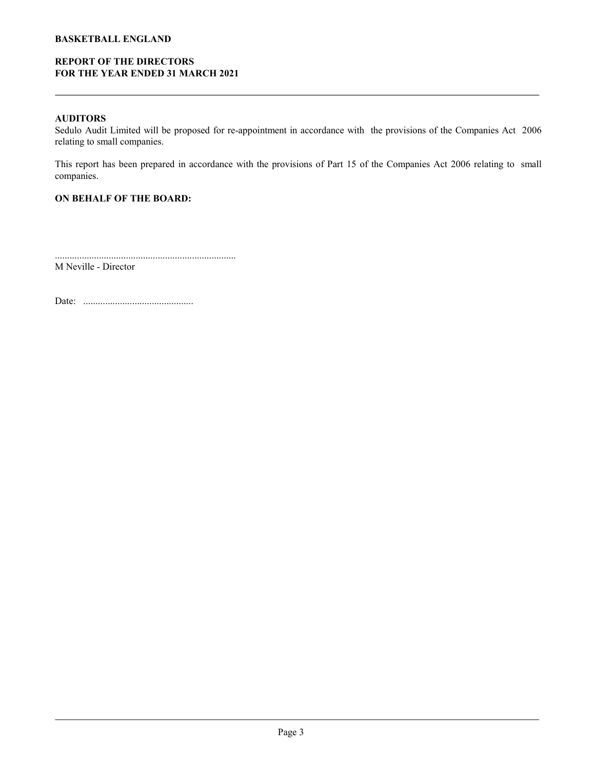# REPORT OF THE DIRECTORS FOR THE YEAR ENDED 31 MARCH 2021

AUDITORS<br>Sedulo Audit Limited will be proposed for re-appointment in accordance with the provisions of the Companies Act 2006 **BASKETBALL ENGLAND**<br> **SEDORT OF THE DIRECTORS**<br> **AUDITORS**<br>
Sedulo Audit Limited will be proposed for re-appointment in accordance with the provisions of the Companies Act 2006<br>
relating to small companies.<br>
This report h relating to small companies. **REPORT OF THE DIRECTORS**<br> **FOR THE YEAR ENDED 31 MARCH 2021**<br> **AUDITORS**<br>
Sedulo Audit Limited will be proposed for re-appointment in accordance with the provisions of the Companies Act 2006<br>
This report has been prepared

companies.

# ON BEHALF OF THE BOARD:

.......................................................................... M Neville - Director

Date: .............................................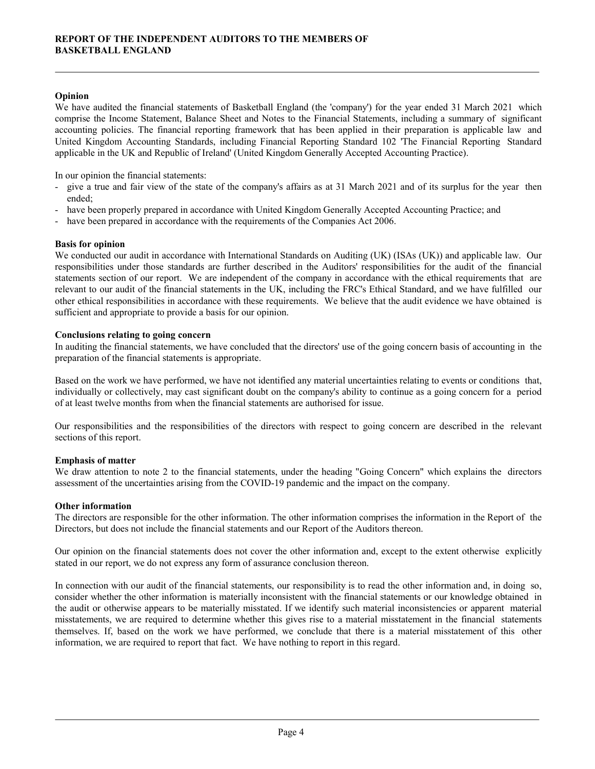# Opinion

**REPORT OF THE INDEPENDENT AUDITORS TO THE MEMBERS OF**<br> **Dopinion**<br>
We have audited the financial statements of Basketball England (the 'company') for the year ended 31 March 2021 which<br>
comprise the Income Statement, Bala **COMPRIGE AND CONTIME INDEPENDENT AUDITORS TO THE MEMBERS OF**<br> **Copinion**<br>
We have audited the financial statements of Basketball England (the 'company') for the year ended 31 March 2021 which<br>
accountring policies. The fi **REPORT OF THE INDEPENDENT AUDITORS TO THE MEMBERS OF**<br> **BASKETBALL ENGLAND**<br> **Opinion**<br>
We have audited the financial statements of Basketball England (the 'company) for the year ended 31 March 2021 which<br>
comprise the In **REPORT OF THE INDEPENDENT AUDITORS TO THE MEMBERS OF**<br> **Opinion**<br>
We have audited the financial statements of Basketball England (the 'company') for the year ended 31 March 2021 which<br>
accounting to financial Reporting St applicable in the UK and Republic of Ireland' (United Kingdom Generally Accepted Accounting Practice). **REPORT OF THE INDEPENDENT AUDITORS TO THE MEMBERS OF**<br> **BASKETBALL ENGLAND**<br>
We have andited the financial statements of Basketball England (the 'company') for the year ended 31 March 2021 which<br>
accounting policies. The **REPORT OF THE INDEPENDENT AUDITORS TO THE MEMBERS OF**<br> **BASKETBALL ENGLAND**<br>
We have audited the financial statements, of Basketball England (the 'company') for the year ended 31 March 2021 which<br>
cocounting policies. The REPORT OF THE INDEPENDENT AUDITORS TO THE MEMBERS OF<br>
BASKETBALL ENGLAND<br>
We have audited the financial statements of Basketball England (the 'company') for the year ended 31 Me<br>
comprise the Income Statement, Balance Shee

- In our opinion the financial statements:<br>- give a true and fair view of the state of the company's affairs as at 31 March 2021 and of its surplus for the year then ended;
- 
- 

# Basis for opinion

**REPORT OF THE INDEPENDENT AUDITORS TO THE MEMBERS OF**<br> **Opinion**<br>
We have a addied the financial statements of Basketball England (the 'company') for the year ended 31 March 2021 which<br>
we have a addied the financial repo **REPORT OF THE INDEPENDENT AUDITORS TO THE MEMBERS OF**<br> **BASKETBALL ENGLAND**<br>
We have audited the financial statements of Basketball England (the 'company') for the year ended 31 March 2021 which<br>
wenny automorphise. The f REPORT OF THE INDEPENDENT AUDITORS TO THE MEMBERS OF<br>
BASKETBALL ENGLAND<br>
Opinion<br>
We have andited the financial statements of Basketball England (the 'company') for the year ended 31 March 2021 which<br>
we have andited the REVORT OF THE MORTAEM AUDITORS TO THE MEMBERS OF COMMONS TO THE MEMBERS OF CONSULTERENT CONDUCT WHINNER (NOT CONDUCT THE FINANCIAL STATE CONDUCT THE STATE CONDUCT WE have a material statements in the content of the financi **EXECT EXECT AND**<br> **Opinion**<br>
We have andiced the financial statements of Basketball England (the 'company') for the year ended 31 March 2021 which<br>
we have andiced the financial statement is balance Sheet and Notes to the sufficient and appropriate to provide a basis for our opinion. **Openion**<br>Openion (accounting policies. The financial statements of Baskerball England (the 'company') for the year ended 31 March 2021 which concording to the nonem Statement Is Balance Sheet and Notes to the Enimorial St accounting policies. The Imamcial reporting Irransvort that has been applied in there preparation is applicable law and the matter and performed Summing Standard, including Financial Reporting Standard Opplicable in the UK United Kungdom Accoluting Standards, incloding Financial idepending Davabard 10/2 The Financial idepending Davabard Counting Practice).<br>
In our opinion the financial statements:<br>
In our opinion the financial statements:<br> In our opmon the limincula statements:<br>
In sure operator the relationship state of the company's affairs as at 31 March 2021 and of this surplus for the year then<br>
ended;<br>
In the been prepared in accordance with United Kin - have been prepared in accordance with the requirements of the Companies Act 2006.<br> **Basis for opinion**<br>
We conducted our andit in accordance with International Standards on Auditing (UK) (ISAs (UK)) and applicable law. responsibilities under those standards are hinter onescribed in the Androws' responsibilities for the other information are the more than the chromation. Higher the compare the other information in the U.K, including the P

# Conclusions relating to going concern

preparation of the financial statements is appropriate.

of at least twelve months from when the financial statements are authorised for issue.

sections of this report.

# Emphasis of matter

assessment of the uncertainties arising from the COVID-19 pandemic and the impact on the company.

# Other information

Directors, but does not include the financial statements and our Report of the Auditors thereon.

stated in our report, we do not express any form of assurance conclusion thereon.

other dinotend resolution in the financial statements. We believe that the nuckle wave thumed is<br>sufficient and appropriate to provide a basis for our opinion.<br>Conclusions relating to going concern<br>
Conclusions relating to Conclusions relating to going concern with our distribution is appropriate.<br>In auditing the financial statements is appropriate.<br>
In auditing the financial statements is appropriate.<br>
Have the financial statements is appro In unathing the Imamcial statements, we have concluded that the directory' use of the gamp concern bases of accounting in the metapological on the work we have performed, we have not identified any material uncertainties preparation of the framewal statements is appropriate.<br>
Hased on the work we have performed, by have not identified any material uncertainties relating to events or conditions that,<br>
distributed of the state wise therefore Hased on the work we have performed, we have not identified any material uncertainties relating to events or conditions that, individually or collectively, may east significant duobt on the company's ability to continue as Haved on the work we have performed, we have not duestified any matternal uncertainties relating to eventual or conductions and the expect of the direct on the work we have the state with the state with respect to going c information, we are required to report that fact. We have nothing to report in this regard.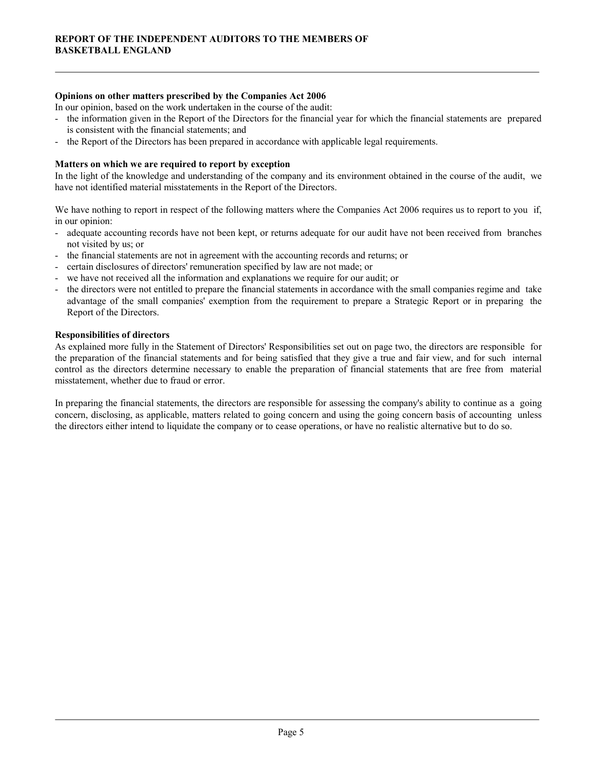### Opinions on other matters prescribed by the Companies Act 2006

In our opinion, based on the work undertaken in the course of the audit:

- **EXEMPLORT OF THE INDEPENDENT AUDITORS TO THE MEMBERS OF**<br> **Opinions on other matters prescribed by the Companies Act 2006**<br>
In our opinion, based on the work undertaken in the course of the audit:<br>
The information given i is consistent with the financial statements; and **REPORT OF THE INDEPENDENT AUDITORS TO THE MEMBERS OF**<br> **BASKETBALL ENGLAND**<br>
In our opinion, based on the work undertaken in the course of the audit:<br>
- the information given in the Report of the Directors for the financi REPORT OF THE INDEPENDENT AUDITORS TO THE MEMBERS OF<br>BASKETBALL ENGLAND<br>
In our opinion, based on the work undertaken in the course of the audit<br>
In our opinion, based on the work undertaken in the course of the audit<br>
is REPORT OF THE INDEPENDENT AUDITORS TO THE MEMBERS OF<br>
BASKETBALL ENGLAND<br>
In our opinion, based on the work undertaken in the course of the audit:<br>
In the financial statements are prepared<br>
is consistent with the financial **REPORT OF THE INDEPENDENT AUDITORS TO THE MEMBERS OF**<br> **BASKETBALL ENGLAND**<br>
In our optimion, based on the work undertaken in the course of the suddiction<br>
In formation given in the Report of the Directors for the financ
- 

#### Matters on which we are required to report by exception

have not identified material misstatements in the Report of the Directors.

in our opinion:

- not visited by us; or
- 
- 
- 
- REPORT OF THE INDEPENDENT AUDITORS TO THE MEMBERS OF<br>
HASKETBALL ENGLAND<br>
In our option, based on the work undertaken in the course of the audit:<br>
In the information given in the Report of the Directors for the financial y REPORT OF THE INDEPENDENT AUDITORS TO THE MEMBERS OF<br>
BASKETBALL ENGLAND<br>
In our opinions on other matters prescribed by the Companies Act 2006<br>
In our opinion, hased on the work understan in the course of the audit:<br>
In t REPORT OF THE INDEPENDENT AUDITORS TO THE MEMBERS OF<br>
BASKETBALL ENGLAND<br>
In our opinions on other matters prescribed by the Companies Act 2006<br>
In our opinion, based on the work underaken in the course of the audit:<br>
In t RENORT OF THE MOREMENT AUDITORS TO THE MEMBERS OF<br> **CONTRACT CONTRACT CONTRACT AND**<br>
In auto option, based on the valuable and the comparise Act 2006<br>
In the information aives not the biliteration in the comparise Act 2006 SKETBALL ENGLAND<br>ainions on other matters prescribed by the Companies Act 2006<br>our opinion, based on the work undertaken in the course of the audit<br>to malinearize of the Directors for the Directors for the financial year f Report of the Directors.

#### Responsibilities of directors

Opinions on other mattlers prescribed by the Companis Act 2006<br>
In our opinion, based on the work undertaken in the course of the audit:<br>
The information given in the Report of the Directors' Revise incordinates in the Sta In our openon, hased on the work undertuction to the under the under<br>is consistent with the financial statements, and<br>is consistent with the financial statements and the financial statements<br>is consistent with the financia Financial statements are proportion for the Directors of the limited by the formation statements are prepared<br>
in consistent with the financial statements; and<br>
the Report of the Directors has been prepared in accordance w misstatement, whether due to fraud or error. **Matters on which we are required to report by exception**<br>In the light of the knowledge and understanding of the company and its environment obtained in the course of the audit, we<br>have not identified material misstatemen Matters on which we are required to report by exception<br>In the light of the knowledge and understanding of the company and its environment obtained in the course of the andit, we<br>have not identified material misstatements

the directors either intend to liquidate the company or to cease operations, or have no realistic alternative but to do so.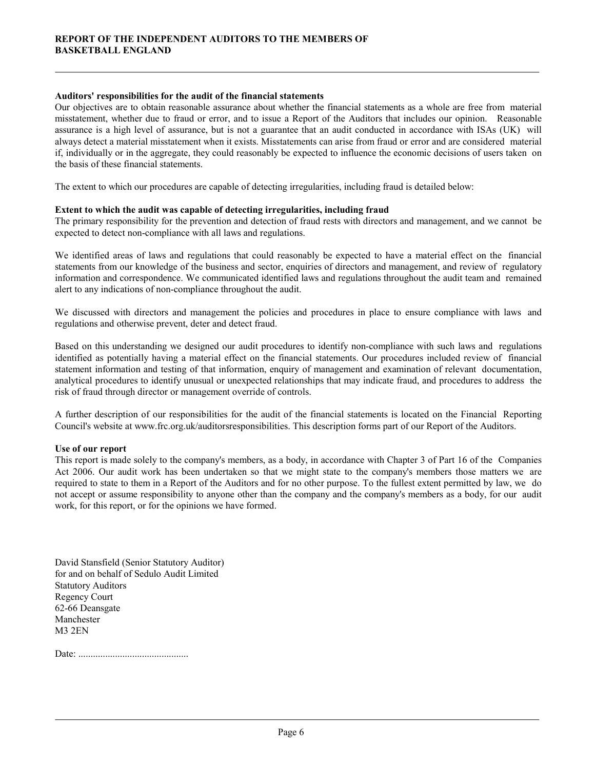#### Auditors' responsibilities for the audit of the financial statements

**REPORT OF THE INDEPENDENT AUDITORS TO THE MEMBERS OF**<br>**BASKETBALL ENGLAND**<br>Our objectives are to obtain reasonable assurance about whether the financial statements as a whole are free from material<br>misstatement, whether d **REPORT OF THE INDEPENDENT AUDITORS TO THE MEMBERS OF**<br>**Auditors' responsibilities for the audit of the financial statements**<br>Our objectives are to obtain reasonable assurance about whether the financial statements as a wh **REPORT OF THE INDEPENDENT AUDITORS TO THE MEMBERS OF**<br>**BASKETBALL ENGLAND**<br>Our objectives are to obtain reasonable assurance about whether the financial statements as a whole are free from material<br>our objectives are to o REPORT OF THE INDEPENDENT AUDITORS TO THE MEMBERS OF<br>BASKETBALL ENGLAND<br>Our objectives are to obtain reasonable assurance about whether the financial statements as a whole are free from material<br>misstatement, whether due t **REPORT OF THE INDEPENDENT AUDITORS TO THE MEMBERS OF**<br>**BASKETBALL ENGLAND**<br>**Auditors' responsibilities for the audit of the financial statements**<br>Our objectives are to obtain reasonable assurance about whether the financi the basis of these financial statements. **REPORT OF THE INDEPENDENT AUDITORS TO THE MEMBERS OF**<br>**Anditors' responsibilities for the andit of the financial statements**<br>Our objectives are to obtain reasonable assume about whether the financial statements as a whole REPORT OF THE INDEPENDENT AUDITORS TO THE MEMBERS OF<br> **Anditors' responsibilities for the audit of the financial statements**<br>
Our objectives are to obtain researable assume about wheir the financial statements as a whole a REPORT OF THE INDEPENDENT AUDITORS TO THE MEMBERS OF<br>
BASKETBALL ENGLAND<br>
Our objectives are to obtain researable assume a sooru wheler the financial statements<br>
Summer: responsibilities for the audit of the financial stat REPORT OF THE INDEPENDENT AUDITORS TO THE MEMBERS OF<br>
BASKETBALL ENGLAND<br>
Auditors' responsibilities for the audit of the financial statements<br>
Our objectives are to obtain researable assurance about whether the financial Auditors' responsibilities for the audit of the financial statements<br>Our objectives are to obtain reasonable assume a door wheiler the financial statements as a whole are free from material<br>misstatement, whether due to fra Auditors' responsibilities for the audit of the financial statements as a whole are free from material our objectives are to obtain researable missistement when the financial statements as a whole are free from material m Our objectives are to obtain reassmable assumme a boot whelter the financial statements as a whole are free from material<br>misstatement, whether due to financial or error, and to issue a Report of the Auditors that includes

The extent to which our procedures are capable of detecting irregularities, including fraud is detailed below:

#### Extent to which the audit was capable of detecting irregularities, including fraud

expected to detect non-compliance with all laws and regulations.

alert to any indications of non-compliance throughout the audit.

regulations and otherwise prevent, deter and detect fraud.

mustuationed the tot muld ur entroy, and to twan a Report of the Audions that mediates our tep-mon. Reasonable<br>ussurance is a high level of assurance, but is not a guarantee that an audit conducted in accordance with ISAs assummer to a bungh level of a sourisme, but to the and samile the in and included m accordinece with ISAs (UK) will approach the statements can arise from fraud or error und are considered material in individually or in t risk of fraud through director or management override of controls. the basis of these frameral statements.<br>The extent to which our procedures are capable of detecting irregularities, including fraud<br>Extent to which the audit was earable of detecting rregularities, including fraud<br>The prim Extent to which the andit was capable of detecting irregularaties, including frand the companyi responsibility for the prevention and detection of final rests with directors and management, and we camnot be expected to de The promary responsibility to the presention and detector of the miniterests with dreedors and management, and we cannot be<br>We identified areas of laws and regulations that could reasonably be expected to have a material repected to detect non-comphance with all laws and regulations.<br>We identified areas of laws and regulations that could reasonably be expected to have a material effect on the financial<br>statements from our knowledge of the We identified areas of laws and regulations that could reasonably be expected to have a material effect on the financial statements from ar Konvelige of the bissimes and sector, enquiries of directions and management, and

Council's website at www.frc.org.uk/auditorsresponsibilities. This description forms part of our Report of the Auditors.

# Use of our report

work, for this report, or for the opinions we have formed.

David Stansfield (Senior Statutory Auditor) for and on behalf of Sedulo Audit Limited Statutory Auditors Regency Court 62-66 Deansgate Manchester M3 2EN

Date: .............................................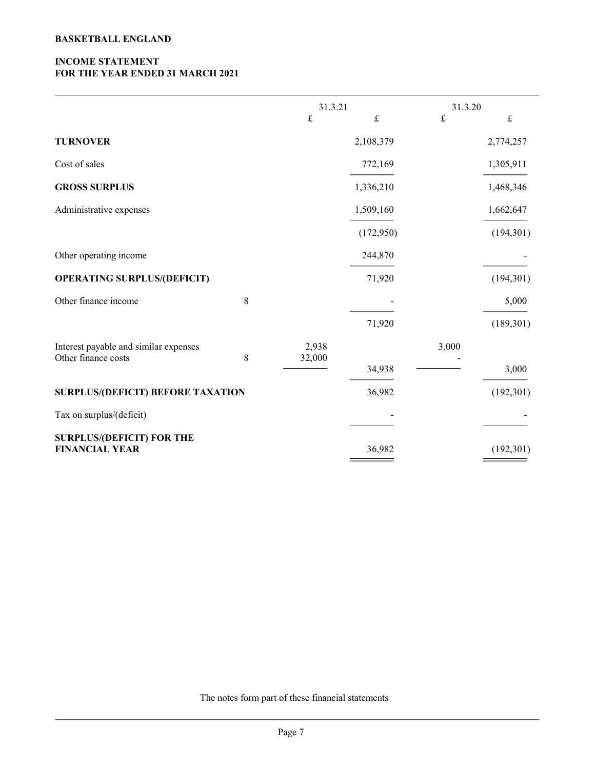# INCOME STATEMENT FOR THE YEAR ENDED 31 MARCH 2021

| <b>BASKETBALL ENGLAND</b>                                    |         |                 |                           |           |            |
|--------------------------------------------------------------|---------|-----------------|---------------------------|-----------|------------|
| <b>INCOME STATEMENT</b><br>FOR THE YEAR ENDED 31 MARCH 2021  |         |                 |                           |           |            |
|                                                              |         | 31.3.21         |                           | 31.3.20   |            |
|                                                              |         | $\pounds$       | $\ensuremath{\mathbf{f}}$ | $\pounds$ | $\pounds$  |
| <b>TURNOVER</b>                                              |         |                 | 2,108,379                 |           | 2,774,257  |
| Cost of sales                                                |         |                 | 772,169                   |           | 1,305,911  |
| <b>GROSS SURPLUS</b>                                         |         |                 | 1,336,210                 |           | 1,468,346  |
| Administrative expenses                                      |         |                 | 1,509,160                 |           | 1,662,647  |
|                                                              |         |                 | (172,950)                 |           | (194, 301) |
| Other operating income                                       |         |                 | 244,870                   |           |            |
| <b>OPERATING SURPLUS/(DEFICIT)</b>                           |         |                 | 71,920                    |           | (194, 301) |
| Other finance income                                         | $\,8\,$ |                 |                           |           | 5,000      |
|                                                              |         |                 | 71,920                    |           | (189, 301) |
| Interest payable and similar expenses<br>Other finance costs | $\,8\,$ | 2,938<br>32,000 |                           | 3,000     |            |
|                                                              |         |                 | 34,938                    |           | 3,000      |
| <b>SURPLUS/(DEFICIT) BEFORE TAXATION</b>                     |         |                 | 36,982                    |           | (192, 301) |
| Tax on surplus/(deficit)                                     |         |                 |                           |           |            |
| <b>SURPLUS/(DEFICIT) FOR THE</b><br><b>FINANCIAL YEAR</b>    |         |                 | 36,982                    |           | (192,301)  |

The notes form part of these financial statements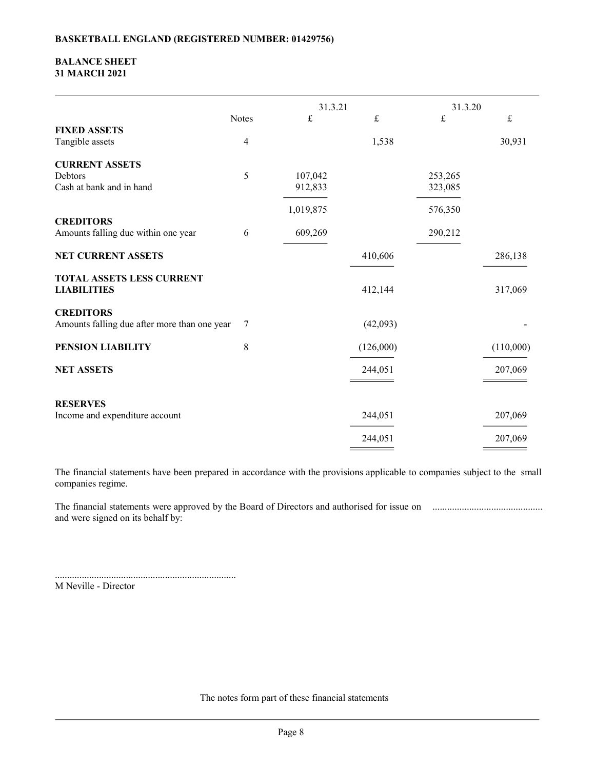### BALANCE SHEET 31 MARCH 2021

| <b>BALANCE SHEET</b>                                             |                         | <b>BASKETBALL ENGLAND (REGISTERED NUMBER: 01429756)</b> |                    |                    |                       |
|------------------------------------------------------------------|-------------------------|---------------------------------------------------------|--------------------|--------------------|-----------------------|
| <b>31 MARCH 2021</b>                                             |                         |                                                         |                    |                    |                       |
|                                                                  |                         | 31.3.21                                                 |                    | 31.3.20            |                       |
| <b>FIXED ASSETS</b><br>Tangible assets                           | Notes<br>$\overline{4}$ | £                                                       | $\pounds$<br>1,538 | £                  | $\mathbf f$<br>30,931 |
| <b>CURRENT ASSETS</b><br>Debtors                                 | $\mathfrak{H}$          | 107,042                                                 |                    | 253,265            |                       |
| Cash at bank and in hand                                         |                         | 912,833                                                 |                    | 323,085            |                       |
| <b>CREDITORS</b><br>Amounts falling due within one year          | 6                       | 1,019,875<br>609,269                                    |                    | 576,350<br>290,212 |                       |
| NET CURRENT ASSETS                                               |                         |                                                         | 410,606            |                    | 286,138               |
| TOTAL ASSETS LESS CURRENT<br><b>LIABILITIES</b>                  |                         |                                                         | 412,144            |                    | 317,069               |
| <b>CREDITORS</b><br>Amounts falling due after more than one year | 7                       |                                                         | (42,093)           |                    |                       |
| PENSION LIABILITY                                                | $8\,$                   |                                                         | (126,000)          |                    | (110,000)             |
| <b>NET ASSETS</b>                                                |                         |                                                         | 244,051            |                    | 207,069               |
| <b>RESERVES</b><br>Income and expenditure account                |                         |                                                         | 244,051            |                    | 207,069               |
|                                                                  |                         |                                                         |                    |                    |                       |

.......................................................................... M Neville - Director

The notes form part of these financial statements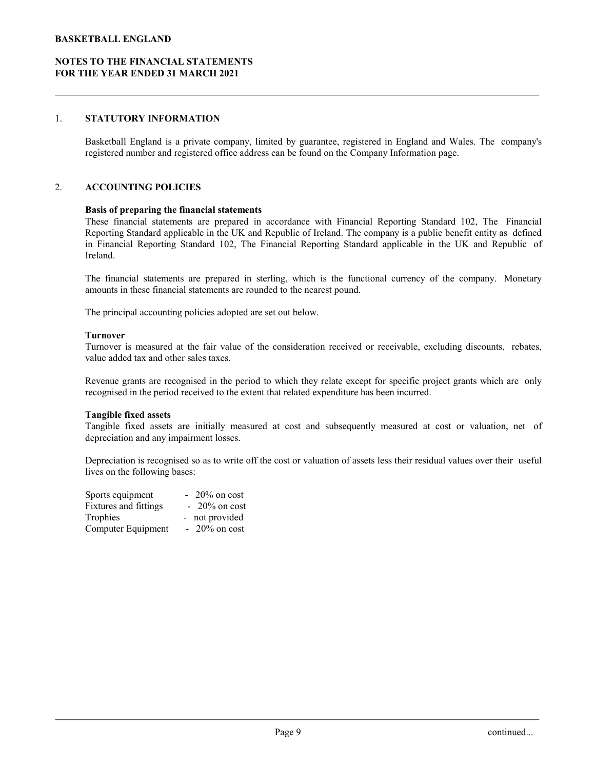# 1. STATUTORY INFORMATION

STO THE FINANCIAL STATEMENTS<br>BE VEAR ENDED 31 MARCH 2021<br>STATUTORY INFORMATION<br>Basketball England is a private company, limited by guarantee, registered in England and Wales. The company's<br>registered number and registered registered number and registered office address can be found on the Company Information page.

#### 2. ACCOUNTING POLICIES

#### Basis of preparing the financial statements

THEST THE FINANCIAL STATEMENTS<br>HE YEAR ENDED 31 MARCH 2021<br>THEST THEST FINANCIAL STATEMENTS<br>FINANCIAL STATEMENTS<br>THEST FINANCIAL STATEMENTS<br>THEST FINANCIAL REPORT THEST FINANCE PRESS CONSULTING POLICITS.<br>These financial st TBALL ENGLAND<br>REPORT THE FINANCIAL STATEMENTS<br>HE VEAR ENDED 31 MARCH 2021<br>STATUTORY INFORMATION<br>Standard Ingland is a private company, limited by guarantee, registered in England and Wales. The company's<br>registered number **ETBALL ENGLAND**<br>**EIE YEAR ENDED 31 MARCH 2021**<br>**STATUTORY INFORMATION**<br>**Basketball England** is a private company, limited by guarantee, registered in England and Wales. The company's<br>registered number and registered offic Ireland. THE FINANCIAL STATEMENTS<br>
THE FINANCIAL STATEMENTS<br>
STATUTORY INFORMATION<br>
Basketball England is a private company, limited by guarantee, registered in England and Wales. The company's<br>
registered number and registered off **STATUTORY INFORMATION**<br>
Haskethall Fingland is a private company, limited by guarantee, registered in Fingland and Wales. The company's<br>
registered number and registered office address can be found on the Company Informat Basketball England is a private company, limited by guarantee, registered in England and Wales. The company's<br>registered number and registered office address can be found on the Company Information page.<br>ACCOUNTING POLICIE **ACCOUNTING POLICIES**<br> **Basis of preparing the financial statements**<br>
These fimmcial Meporting Standard superiors are prepared in accordance with Financial Reporting Standard 102, The Financial<br>
Reporting Standard applicab **Hangine internation statements** the funarities and the cost or valuation is recognised by the cost of Repreciation in Trinancial statements so as prepared in accordance with Financial The company is a public benefit entit

amounts in these financial statements are rounded to the nearest pound.

The principal accounting policies adopted are set out below.

#### Turnover

value added tax and other sales taxes.

recognised in the period received to the extent that related expenditure has been incurred.

#### Tangible fixed assets

depreciation and any impairment losses.

lives on the following bases:

| Sports equipment             | $-20\%$ on cost |  |
|------------------------------|-----------------|--|
| <b>Fixtures and fittings</b> | $-20\%$ on cost |  |
| Trophies                     | - not provided  |  |
| Computer Equipment           | $-20\%$ on cost |  |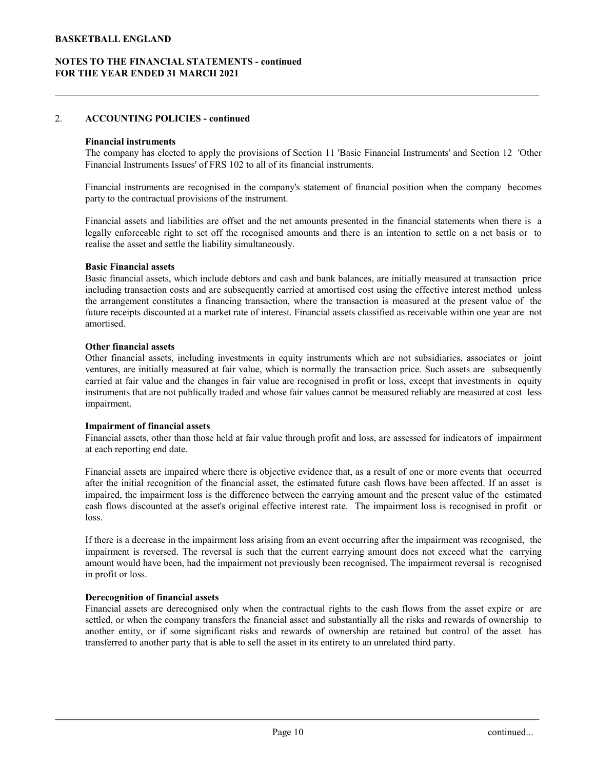# 2. ACCOUNTING POLICIES - continued

#### Financial instruments

Financial Instruments Issues' of FRS 102 to all of its financial instruments.

THE FINANCIAL STATEMENTS - continued<br>HE YEAR ENDED 31 MARCH 2021<br>ACCOUNTING POLICIES - continued<br>Tinancial Instruments<br>The company has elected to apply the provisions of Section 11 'Basic Financial Instruments' and Section party to the contractual provisions of the instrument.

FIBALL ENGLAND<br>HE VEAR ENDED 31 MARCH 2021<br>ACCOUNTING POLICIES - continued<br>Financial instruments<br>The company has elected to apply the provisions of Section 11 'Basic Financial Instruments' and Section 12 'Other<br>Financial i FIBALL ENGLAND<br>HE YEAR ENDED 31 MARCH 2021<br>HE YEAR ENDED 31 MARCH 2021<br>Thannelal instruments<br>The company has elected to apply the provisions of Section 11 'Basic Financial Instruments' and Section 12 'Other<br>Financial instr CTBALL ENGLAND<br>
STO THE FINANCIAL STATEMENTS - continued<br>
HE YEAR ENDED 31 MARCH 2021<br>
ACCOUNTING POLICIES - continued<br>
Financial instruments<br>
The company has elected to apply the provisions of Section 11 'Basic Financial realise the asset and settle the liability simultaneously.

#### Basic Financial assets

**ETBALL ENGLAND**<br> **BASICATE STATEMENTS** - continued<br> **EXECOUNTING POLICIES** - continued<br> **Financial instruments**<br> **Financial assets, which is elected to apply the provisions of Section 11 Basic Financial Instruments' and S** ITBALL ENGLAND<br>
IF YEAR ENDED 31 MARCH 2021<br>
IF YEAR ENDED 31 MARCH 2021<br>
ACCOUNTING POLICIES - continued<br>
Financial instruments<br>
The company has elected to apply the provisions of Section 11 'Basic Financial Instruments' THE FINANCIAL STATEMENTS - continued<br>
HE VEAR ENDED 31 MARCH 2021<br>
ACCOUNTING POLICIES - continued<br>
Thancial instruments<br>
The company has elected to apply the provisions of Section 11 Basic Financial Instruments' and Secti FIGURE FINANCIAL STATEMENTS - continued<br> **ACCOUNTING POLICIES - continued**<br> **Financial instruments**<br>
The company has elected to apply the provisions of Section 11 'Basic Financial Instruments' and Section 12 'Other<br>
Financ amortised.

#### Other financial assets

ACCOUNTING POLICIES - continued<br>
Financial instruments<br>
The company has elected to apply the provisions of Section 11 'Basic Financial Instruments' and Section 12 'Other<br>
Tinnoncial Instruments Issues' of FRS 102 to all of ACCOUNTING POLICIES - continued<br>The company has elected to apply the provisions of Section 11 'Basic Financial Instruments' and Section 12 'Other<br>Financial Instruments Issues' of FRS 102 to all of its financial instruments **Financial instruments**<br>The company has elected to apply the provisions of Section 11 'Basic Financial Instruments' and Section 12 'Other<br>Trimancial Instruments Issues' of FRS 102 to all of its financial instruments.<br>
Fina Financial instruments<br>The company has elected to apply the provisions of Section 11 Basic Financial Instruments' and Section 12 'Other<br>Financial Instruments Issues' of FRS 102 to all of its financial instruments.<br>Tranchial impairment. Financial mstruments ure recognised in the company's statement of Immenal position when the company becomes<br>Paraty to the contractual provisions of the instrument.<br>
Financial assets and liabilities are offset and the net Framcula assets are industries are ollest und the net armounts presented in the limencal statements when there is a regular paparocale right to set off the recognised amounts and there is an intention to settle on a net ba legally enlorceable right oset of the recognised amounts and there is an intention to settle on a net basis or to Raise Financial assets<br> **Basic Financial assets**<br> **Basic financial assets**<br>
Hasic financial assets<br>
includin realise the asset and settle the liability simultaneously.<br>
Haste Financial assets, which include debtors and cash and bank balances, are initially measured at transaction price<br>
including transaction costs and are subsequ **Basic Financial assets**<br>Basic financial assets, which include debtors and cash and bank balances, are initially measured at transaction price<br>including transaction costs and are subsequently carried at amortised cost usin meduling transaction costs and results are inbestepartibly carried at a amoste saturostic cost using the ellective interest method unies the infurnce derivation, where the transaction is measured at the present value of th the arrangement constitutes a limatrong transsaction, where the transsaction is measured at the present value of the transfer that the reverse detects. Financial assets classified as receivable within one year are not subs Idure recepts discounted at a market rate of interest. Imaneal assets classified as receivable within one year are not<br>
Other financial assets, including investments in equity instruments which are not subsidiaries, associ

#### Impairment of financial assets

at each reporting end date.

loss. Other Imancial assets, meliding myeastimes in requiry institutents whole are to shostlantes, associalled or point<br>ventures, are initially measured on find value, which is normally the transaction price. Such assets are sub ventures, are initially measured at fair value, winch is normally the transceton price. Such assets are subsequently increases an fair value are recognised in profit or loss, except that investments in equity instruments t carred at lair value and the changes in lair value are recognised in probli or loos, except but investments in equity<br>instruments that are not publically traded and whose fair values cannot be measured reliably are measure

in profit or loss. t, the estimated future cash flows have been affected. If an asset is<br>between the carrying amount and the present value of the estimated<br>ecitive interest rate. The impairment loss is recognised in profit or<br>ing from an eve

#### Derecognition of financial assets

transferred to another party that is able to sell the asset in its entirety to an unrelated third party.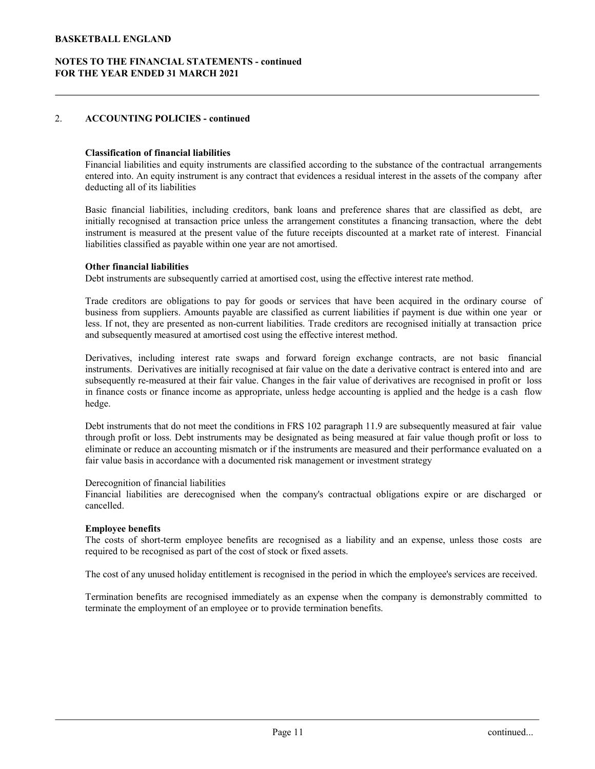# 2. ACCOUNTING POLICIES - continued

#### Classification of financial liabilities

FIBALL ENGLAND<br>HE VEAR ENDED 31 MARCH 2021<br>ACCOUNTING POLICIES - continued<br>Classification of financial liabilities<br>Financial liabilities and equity instruments are classified according to the substance of the contractual a deducting all of its liabilities

EN TERALL ENGLAND<br>HE YEAR ENDED 31 MARCH 2021<br>ACCOUNTING POLICIES - continued<br>Classification of financial liabilities<br>Financial liabilities and equity instruments are classified according to the substance of the contractua **EXERALL ENGLAND**<br> **BASIC THE FINANCIAL STATEMENTS - continued**<br> **EXERUTE FINANCIAL STATEMENTS - continued**<br> **CLASSIFICATION OF THE CONSTANT CONSTANT**<br> **CLASSIFICATION OF THE CONSTANT CONSTANT**<br> **CONSTANT CONSTANT CONSTANT ETBALL ENGLAND**<br> **ET TO THE FINANCIAL STATEMENTS - continued**<br> **ETALLY REAT COUNTING POLICIES - continued**<br> **Classification of financial liabilities**<br> **Classification of financial liabilities**<br> **Classification price and e ETBALL ENGLAND**<br>**ETO THE FINANCIAL STATEMENTS - continued**<br>**EXECOUNTING POLICIES - continued**<br>**CLASSIFICATION OF THE FINANCIAL 2021**<br>**CLASSIFICATION OF THE PRESENT VALUE OF THE FUTURE CONSISTENT CONTINUES**<br>**Financial liab** liabilities classified as payable within one year are not amortised.

#### Other financial liabilities

Debt instruments are subsequently carried at amortised cost, using the effective interest rate method.

**TIO THE FINANCIAL STATEMENTS - continued**<br> **MCCOUNTING POLICIES - continued**<br> **Classification of financial liabilities**<br> **Classification of financial liabilities**<br> **Classification of financial liabilities**<br> **Classificatio** FIO THE FINANCIAL STATEMENTS - continued<br> **ACCOUNTING POLICIES** - continued<br> **Classification of financial liabilities**<br>
Friencial liabilities and equity instruments are classified according to the substance of the contract IF YEAR ENDED 31 MARCH 2021<br>
ACCOUNTING POLICIES - continued<br>
Classification of financial liabilities<br>
Financial liabilities and equity instruments are classified according to the substance of the contractual arrangements<br> and subsequently measured at amortised cost using the effective interest method.

**ACCOUNTING POLICIES - continued**<br> **Classification of financial liabilities**<br> **Ernancial liabilities** and equity instruments are classified according to the substance of the contractual arrangements<br>
entered into. An equit **CLEATE COUNTING POLACIES - continued**<br> **CLEATEREM** CLEATES - continued Institution-<br>
Friencial liabilities, and equity instruments are classified according to the substance of the contractual arrangements<br>
Friencial liabi Classification of financial liabilities<br>
Financial liabilities and equity instruments are classified according to the substance of the contractual arrangements<br>
entered into. An equity instrument is any contract that evide **Classification of financial liabilities**<br>
Frimerical idehities and equity instruments are classified according to the substance of the contractual arrangements<br>
Frimerical idehities and equity instrument is any contract hedge. entred into. An equity natitunent is any contract that evidences a residual interest in the assets of the company after<br>deducting all of its liabilities, including creditors, bank loans and preference shares that are class deducting all of its habilities, including creditors, bank loans and preference shares that are classified as debt, are lassic financial liabilities including recolutions including recolutions in the measured at the measur Basic financial liabilities, including creditors, bank loans and preference shares that are classified as the hystially recognised at transaction price unless the errame constitutes a financing transaction, where the debt Inshitutes classalied as payable within one year are not amortised.<br>
Obelt instruments labilities are obligations to pay for goods or services that have been acquired in the ordinary course of<br>
Trade creditors are obligati Trade creditors are obligations to pay for goods or services that have been acquired in the ordinary course of business from supplines. Amounts payable are classified as surrent liabilities if payern is due within one year Derivatives, including interest rate swaps and forward foreign exchange contracts, are not basic financial instruments. Derivatives sere initially recognised af imit value on the date a derivative contract is entred into a

fair value basis in accordance with a documented risk management or investment strategy

#### Derecognition of financial liabilities

cancelled.

# Employee benefits

required to be recognised as part of the cost of stock or fixed assets.

The cost of any unused holiday entitlement is recognised in the period in which the employee's services are received.

terminate the employment of an employee or to provide termination benefits. e company's contractual obligations expire or are discharged or<br>
e recognised as a liability and an expense, unless those costs are<br>
tock or fixed assets.<br>
cognised in the period in which the employee's services are receiv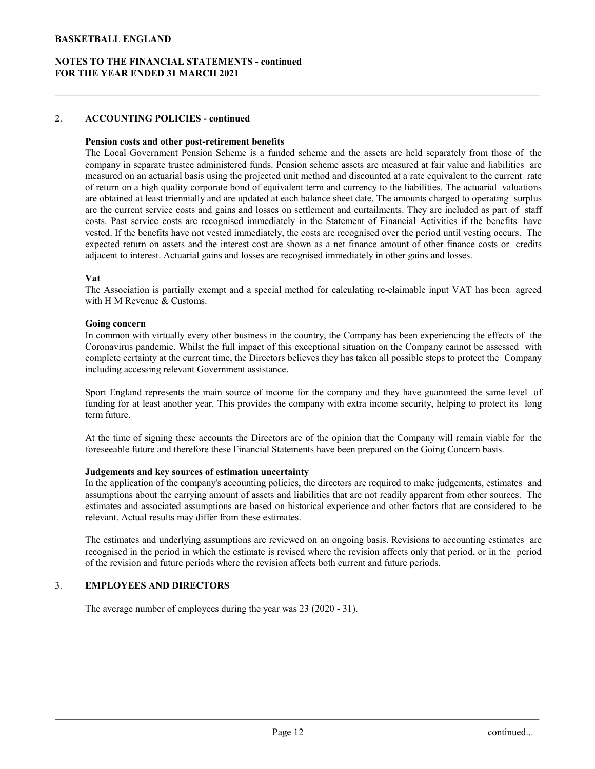# NOTES TO THE FINANCIAL STATEMENTS - continued FOR THE YEAR ENDED 31 MARCH 2021

# 2. ACCOUNTING POLICIES - continued

#### Pension costs and other post-retirement benefits

TBALL ENGLAND<br>HE YEAR ENDED 31 MARCH 2021<br>ACCOUNTING POLICIES - continued<br>Pension costs and other post-retirement benefits<br>The Local Government Pension Scheme is a funded scheme and the assets are held separately from thos CONTINUATE ENGLAND<br>
FOR THE FINANCIAL STATEMENTS - continued<br>
HE VEAR ENDED 31 MARCH 2021<br>
ACCOUNTING POLICIES - continued<br>
Pension costs and other post-retirement benefits<br>
The Local Government Pension Scheme is a funded TBALL ENGLAND<br>HE YEAR ENDED 31 MARCH 2021<br>HE YEAR ENDED 31 MARCH 2021<br>The Local Government Pension costs and other post-retirement benefits<br>The Local Government Pension Scheme is a funded scheme and the assets are held sep **STBALL ENGLAND**<br> **STO THE FINANCIAL STATEMENTS - continued**<br> **HE. YEAR ENDED 31 MARCH 2021**<br> **ACCOUNTING POLICIES - continued**<br> **Pension costs and other post-retirement benefits**<br> **The Local Government Pension Scheme** is **ETBALL ENGLAND**<br> **ACCOUNTING POLICIES - continued**<br> **AECOUNTING POLICIES - continued**<br> **Pension costs and other post-retirement benefits**<br>
The Local Government Pension Scheme is a funded scheme and the assets are held sep **ETBALL ENGLAND**<br> **ACCOUNTING POLICIES - continued**<br> **ACCOUNTING POLICIES - continued**<br> **Pension costs and other post-retirement benefits**<br>
The Local Government Pension Scheme is a funded scheme and the assets are held sep COCOUNTING POLICIES - continued<br>
ELECCOUNTING POLICIES - continued<br>
HE YEAR ENDED 31 MARCH 2021<br>
Pension costs and other post-refirement henefits<br>
The Local Government Pension Scheme is a funded scheme and the assets are h TBALL ENGLAND<br>
IF TO THE FINANCIAL STATEMENTS - continued<br>
HE VEAR ENDED 31 MARCH 2021<br>
ACCOUNTING POLICIES - continued<br>
Pension costs and other post-retirement benefits<br>
The Local Government Pension Scheme is a finded sch ETBALL ENGLAND<br>
HE VEAR ENDED 31 MARCH 2021<br>
MCCOUNTING POLICIES - continued<br>
The Local Government Pension Cscheme is a funded scheme and the assets are held separately from those of the<br>
The Local Government Pension Schem adjacent to interest. Actuarial gains and losses are recognised immediately in other gains and losses. THEALL ENGLAND<br>
THE VEAR ENDED 31 MARCH 2021<br>
HE VEAR ENDED 31 MARCH 2021<br>
ACCOUNTING POLICIES - continued<br>
The Local Government Pension Scheme is a funded scheme and the assets are held separately from those of the<br>
The L ACCOUNTING POLICIES - continued<br>
Pension costs and other post-retirement benefits<br>
The Local Government Pension Scheme and the assets are held separately from those of the<br>
Ine Local Government Pension Scheme is a funded s ACCOUNTING POLICIES - continued<br>
Pension costs and other post-retirement benefits<br>
The Local Government Pension Scheme is a funded scheme and the assets are measured at fair value and ilabilities are<br>
company in esparate t ACCOUNTING POLICIES - continued<br>
Pension costs and other post-retirement benefits<br>
The Local Government Pension Scheme and the assets are held separately from those of the<br>
The Local Government Pension Scheme size that med **Pension costs and other post-retirement benefits<br>
The Local Government Pension Scheme is a finded scheme and the assets are measured at fair value and faibilities are<br>company in equarat travate administered funds. Pension** The Local Givermman Penson Scheme s' a lunded scheme and the usests are held separative) from those of the company in separate trustee administered funds. Pension scheme assets are measured at air value and liabilities are of return on a high quality corporate bond of equivale term and currency to the linklitus. The accumal valuations<br>are obtained at least triemainly and are updated at each balance sheet date. The amounts clarged to operatin

#### Vat

with H M Revenue & Customs.

#### Going concern

including accessing relevant Government assistance. vested. If the benefits have not vested immediatity, the costs are recognised over the period turbi vestime gocurs. The company corrected return on assets and the interest cost are shown as a net finance amount of other fi expected return on assets and the interest cost are shown as a net funance amount of other funance oses or creatis and liability except that a special method for calculating re-claimable input VAT has been agreed The Assoc diatent to interest. Actuarial gains and losses are recognised immediately in other gains and losses.<br>
Yak Association is partially exerny and a special method for calculating re-claimable input VAT has been agreed<br>
with H The Association is puritally exerty and a special method for calculating re-claimable mput VAT has been agreed<br>twith H M Revenue & Customs.<br>
Going concern<br>
In common with virtually every other business in the country, the with H M Revenue & Customs.<br>
Going concern<br>
Going concerns in the country, the Company has been experiencing the effects of the<br>
Coromany in andemic. Whils the full impact of this exceptional situation on the Company camot

term future.

foreseeable future and therefore these Financial Statements have been prepared on the Going Concern basis.

#### Judgements and key sources of estimation uncertainty

relevant. Actual results may differ from these estimates. olicies, the directors are required to make judgements, estimates and<br>smallabilities that are not readily apparent from other sources. The<br>on historical experience and other factors that are considered to be<br>timates.<br>eview

of the revision and future periods where the revision affects both current and future periods.

#### 3. EMPLOYEES AND DIRECTORS

The average number of employees during the year was 23 (2020 - 31).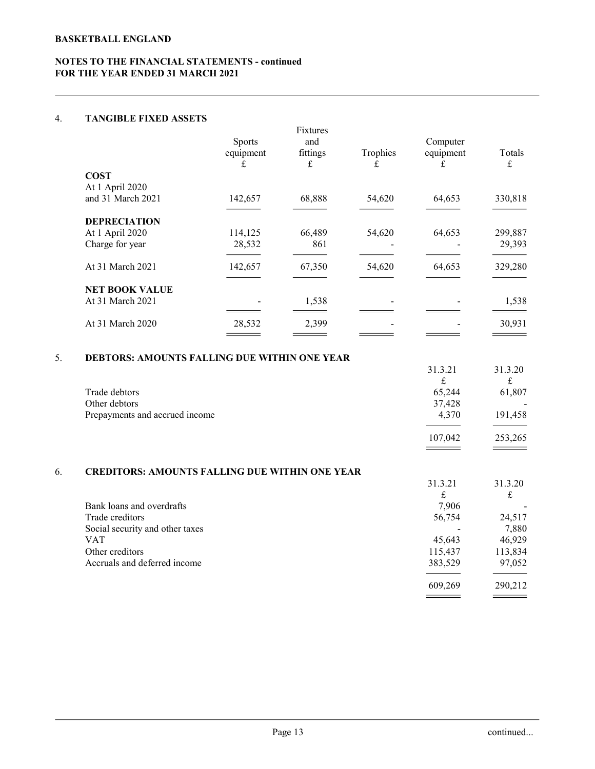# 4. TANGIBLE FIXED ASSETS

| <b>ETBALL ENGLAND</b>                                 |                |                          |                          |                          |                          |
|-------------------------------------------------------|----------------|--------------------------|--------------------------|--------------------------|--------------------------|
| ES TO THE FINANCIAL STATEMENTS - continued            |                |                          |                          |                          |                          |
| THE YEAR ENDED 31 MARCH 2021                          |                |                          |                          |                          |                          |
|                                                       |                |                          |                          |                          |                          |
|                                                       |                |                          |                          |                          |                          |
| <b>TANGIBLE FIXED ASSETS</b>                          |                |                          |                          |                          |                          |
|                                                       |                | Fixtures                 |                          |                          |                          |
|                                                       | Sports         | and                      |                          | Computer                 |                          |
|                                                       | equipment<br>£ | fittings<br>$\pounds$    | Trophies<br>£            | equipment<br>£           | Totals<br>$\pounds$      |
| <b>COST</b>                                           |                |                          |                          |                          |                          |
| At 1 April 2020                                       |                |                          |                          |                          |                          |
| and 31 March 2021                                     | 142,657        | 68,888                   | 54,620                   | 64,653                   | 330,818                  |
| <b>DEPRECIATION</b>                                   |                |                          |                          |                          |                          |
| At 1 April 2020                                       | 114,125        | 66,489                   | 54,620                   | 64,653                   | 299,887                  |
| Charge for year                                       | 28,532         | 861                      | $\overline{\phantom{a}}$ | $\sim$                   | 29,393                   |
| At 31 March 2021                                      | 142,657        | 67,350                   |                          | 64,653                   |                          |
|                                                       |                |                          | 54,620                   |                          | 329,280                  |
| <b>NET BOOK VALUE</b>                                 |                |                          |                          |                          |                          |
| At 31 March 2021                                      |                | 1,538                    |                          |                          | 1,538                    |
| At 31 March 2020                                      | 28,532         | 2,399                    |                          |                          | 30,931                   |
|                                                       |                | $\overline{\phantom{a}}$ |                          |                          | $\overline{\phantom{a}}$ |
|                                                       |                |                          |                          |                          |                          |
| DEBTORS: AMOUNTS FALLING DUE WITHIN ONE YEAR          |                |                          |                          |                          |                          |
|                                                       |                |                          |                          | 31.3.21<br>f             | 31.3.20<br>$\mathbf f$   |
| Trade debtors                                         |                |                          |                          | 65,244                   | 61,807                   |
| Other debtors                                         |                |                          |                          | 37,428                   |                          |
| Prepayments and accrued income                        |                |                          |                          | 4,370                    | 191,458                  |
|                                                       |                |                          |                          | 107,042                  | 253,265                  |
|                                                       |                |                          |                          | $\overline{\phantom{a}}$ | $\qquad \qquad$          |
|                                                       |                |                          |                          |                          |                          |
| <b>CREDITORS: AMOUNTS FALLING DUE WITHIN ONE YEAR</b> |                |                          |                          | 31.3.21                  | 31.3.20                  |
|                                                       |                |                          |                          | $\pounds$                | $\pounds$                |
| Bank loans and overdrafts                             |                |                          |                          | 7,906                    |                          |
| Trade creditors                                       |                |                          |                          | 56,754                   | 24,517                   |
| Social security and other taxes<br><b>VAT</b>         |                |                          |                          | $\blacksquare$<br>45,643 | 7,880<br>46,929          |
| Other creditors                                       |                |                          |                          | 115,437                  | 113,834                  |
|                                                       |                |                          |                          |                          |                          |

# 5. DEBTORS: AMOUNTS FALLING DUE WITHIN ONE YEAR

|                                | 31.3.21 | 31.3.20 |
|--------------------------------|---------|---------|
|                                |         | £       |
| Trade debtors                  | 65,244  | 61,807  |
| Other debtors                  | 37,428  | -       |
| Prepayments and accrued income | 4.370   | 191,458 |
|                                | 107,042 | 253,265 |
|                                |         |         |

# 6. CREDITORS: AMOUNTS FALLING DUE WITHIN ONE YEAR

| At 31 March 2021                                                                                                                                 | 142,657                     | 67,350                     | 54,620                          | 64,653                                                                                          | 329,280                                                                                     |  |
|--------------------------------------------------------------------------------------------------------------------------------------------------|-----------------------------|----------------------------|---------------------------------|-------------------------------------------------------------------------------------------------|---------------------------------------------------------------------------------------------|--|
| <b>NET BOOK VALUE</b><br>At 31 March 2021                                                                                                        | $=$                         | 1,538<br>$\qquad \qquad$   | $=$                             | $\blacksquare$<br>$\equiv$                                                                      | 1,538                                                                                       |  |
| At 31 March 2020                                                                                                                                 | 28,532<br>$\qquad \qquad =$ | 2,399<br>$\qquad \qquad =$ | $\overline{\phantom{a}}$<br>$=$ | $\overline{\phantom{a}}$<br>$=$                                                                 | 30,931<br>$\qquad \qquad =$                                                                 |  |
| DEBTORS: AMOUNTS FALLING DUE WITHIN ONE YEAR                                                                                                     |                             |                            |                                 | 31.3.21                                                                                         | 31.3.20                                                                                     |  |
| Trade debtors<br>Other debtors<br>Prepayments and accrued income                                                                                 |                             |                            |                                 | $\pounds$<br>65,244<br>37,428<br>4,370<br>107,042<br>$\qquad \qquad =$                          | $\pounds$<br>61,807<br>191,458<br>253,265<br>$\qquad \qquad =\qquad$                        |  |
| <b>CREDITORS: AMOUNTS FALLING DUE WITHIN ONE YEAR</b>                                                                                            |                             |                            |                                 | 31.3.21                                                                                         | 31.3.20                                                                                     |  |
| Bank loans and overdrafts<br>Trade creditors<br>Social security and other taxes<br><b>VAT</b><br>Other creditors<br>Accruals and deferred income |                             |                            |                                 | $\mathbf f$<br>7,906<br>56,754<br>45,643<br>115,437<br>383,529<br>609,269<br>$\hspace{1.5cm} =$ | $\pounds$<br>24,517<br>7,880<br>46,929<br>113,834<br>97,052<br>290,212<br>$\qquad \qquad =$ |  |
|                                                                                                                                                  |                             | Page 13                    |                                 |                                                                                                 | continued                                                                                   |  |
|                                                                                                                                                  |                             |                            |                                 |                                                                                                 |                                                                                             |  |
|                                                                                                                                                  |                             |                            |                                 |                                                                                                 |                                                                                             |  |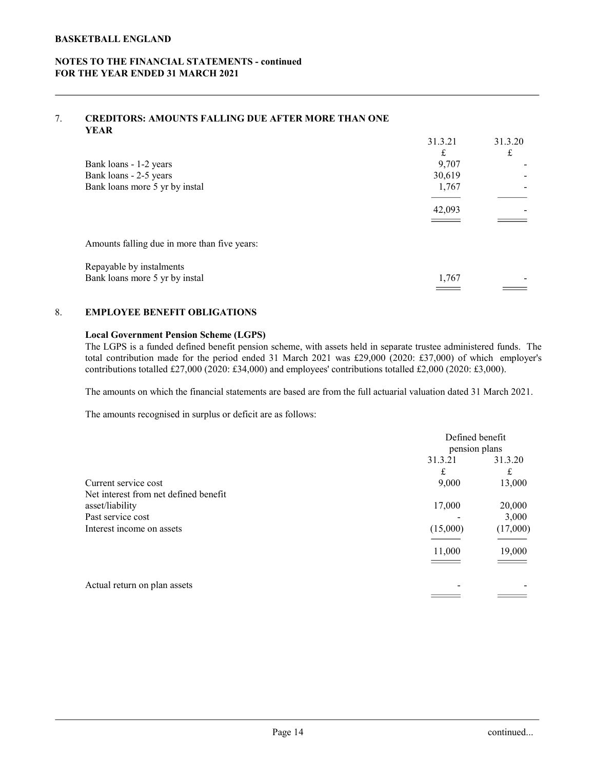# 7. CREDITORS: AMOUNTS FALLING DUE AFTER MORE THAN ONE YEAR

| <b>KETBALL ENGLAND</b>                                                                                                                                                                                                                                                                                                                                                                          |                                |             |
|-------------------------------------------------------------------------------------------------------------------------------------------------------------------------------------------------------------------------------------------------------------------------------------------------------------------------------------------------------------------------------------------------|--------------------------------|-------------|
| ES TO THE FINANCIAL STATEMENTS - continued<br>THE YEAR ENDED 31 MARCH 2021                                                                                                                                                                                                                                                                                                                      |                                |             |
| <b>CREDITORS: AMOUNTS FALLING DUE AFTER MORE THAN ONE</b><br><b>YEAR</b>                                                                                                                                                                                                                                                                                                                        |                                |             |
|                                                                                                                                                                                                                                                                                                                                                                                                 | 31.3.21                        | 31.3.20     |
| Bank loans - 1-2 years                                                                                                                                                                                                                                                                                                                                                                          | $\mathbf f$<br>9,707           | $\mathbf f$ |
| Bank loans - 2-5 years                                                                                                                                                                                                                                                                                                                                                                          | 30,619                         |             |
| Bank loans more 5 yr by instal                                                                                                                                                                                                                                                                                                                                                                  | 1,767                          |             |
|                                                                                                                                                                                                                                                                                                                                                                                                 | 42,093<br>$\sim$ $\sim$ $\sim$ |             |
| Amounts falling due in more than five years:                                                                                                                                                                                                                                                                                                                                                    |                                |             |
| Repayable by instalments<br>Bank loans more 5 yr by instal                                                                                                                                                                                                                                                                                                                                      | 1,767                          |             |
|                                                                                                                                                                                                                                                                                                                                                                                                 |                                |             |
| <b>EMPLOYEE BENEFIT OBLIGATIONS</b>                                                                                                                                                                                                                                                                                                                                                             |                                |             |
| <b>Local Government Pension Scheme (LGPS)</b><br>The LGPS is a funded defined benefit pension scheme, with assets held in separate trustee administered funds. The<br>total contribution made for the period ended 31 March 2021 was £29,000 (2020: £37,000) of which employer's<br>contributions totalled £27,000 (2020: £34,000) and employees' contributions totalled £2,000 (2020: £3,000). |                                |             |
| The amounts on which the financial statements are based are from the full actuarial valuation dated 31 March 2021.                                                                                                                                                                                                                                                                              |                                |             |
| The amounts recognised in surplus or deficit are as follows:                                                                                                                                                                                                                                                                                                                                    |                                |             |

# 8. EMPLOYEE BENEFIT OBLIGATIONS

# Local Government Pension Scheme (LGPS)

|                                                                                                                                                                                                                                                                                                                                                                                                 | 42,093                   |                 |
|-------------------------------------------------------------------------------------------------------------------------------------------------------------------------------------------------------------------------------------------------------------------------------------------------------------------------------------------------------------------------------------------------|--------------------------|-----------------|
|                                                                                                                                                                                                                                                                                                                                                                                                 |                          |                 |
| Amounts falling due in more than five years:                                                                                                                                                                                                                                                                                                                                                    |                          |                 |
| Repayable by instalments                                                                                                                                                                                                                                                                                                                                                                        |                          |                 |
| Bank loans more 5 yr by instal                                                                                                                                                                                                                                                                                                                                                                  | 1,767<br>____            |                 |
| <b>EMPLOYEE BENEFIT OBLIGATIONS</b>                                                                                                                                                                                                                                                                                                                                                             |                          |                 |
| <b>Local Government Pension Scheme (LGPS)</b><br>The LGPS is a funded defined benefit pension scheme, with assets held in separate trustee administered funds. The<br>total contribution made for the period ended 31 March 2021 was £29,000 (2020: £37,000) of which employer's<br>contributions totalled £27,000 (2020: £34,000) and employees' contributions totalled £2,000 (2020: £3,000). |                          |                 |
| The amounts on which the financial statements are based are from the full actuarial valuation dated 31 March 2021.                                                                                                                                                                                                                                                                              |                          |                 |
| The amounts recognised in surplus or deficit are as follows:                                                                                                                                                                                                                                                                                                                                    |                          |                 |
|                                                                                                                                                                                                                                                                                                                                                                                                 | Defined benefit          |                 |
|                                                                                                                                                                                                                                                                                                                                                                                                 | pension plans<br>31.3.21 | 31.3.20         |
|                                                                                                                                                                                                                                                                                                                                                                                                 | $\mathbf f$              | $\mathbf f$     |
| Current service cost                                                                                                                                                                                                                                                                                                                                                                            | 9,000                    | 13,000          |
| Net interest from net defined benefit                                                                                                                                                                                                                                                                                                                                                           |                          |                 |
| asset/liability<br>Past service cost                                                                                                                                                                                                                                                                                                                                                            | 17,000                   | 20,000<br>3,000 |
| Interest income on assets                                                                                                                                                                                                                                                                                                                                                                       | (15,000)                 | (17,000)        |
|                                                                                                                                                                                                                                                                                                                                                                                                 | 11,000                   | 19,000          |
|                                                                                                                                                                                                                                                                                                                                                                                                 |                          |                 |
| Actual return on plan assets                                                                                                                                                                                                                                                                                                                                                                    |                          |                 |
|                                                                                                                                                                                                                                                                                                                                                                                                 |                          |                 |
|                                                                                                                                                                                                                                                                                                                                                                                                 |                          |                 |
|                                                                                                                                                                                                                                                                                                                                                                                                 |                          |                 |
|                                                                                                                                                                                                                                                                                                                                                                                                 |                          |                 |
|                                                                                                                                                                                                                                                                                                                                                                                                 |                          |                 |
|                                                                                                                                                                                                                                                                                                                                                                                                 |                          |                 |
|                                                                                                                                                                                                                                                                                                                                                                                                 |                          |                 |
|                                                                                                                                                                                                                                                                                                                                                                                                 |                          |                 |
| Page 14                                                                                                                                                                                                                                                                                                                                                                                         |                          | continued       |
|                                                                                                                                                                                                                                                                                                                                                                                                 |                          |                 |
|                                                                                                                                                                                                                                                                                                                                                                                                 |                          |                 |
|                                                                                                                                                                                                                                                                                                                                                                                                 |                          |                 |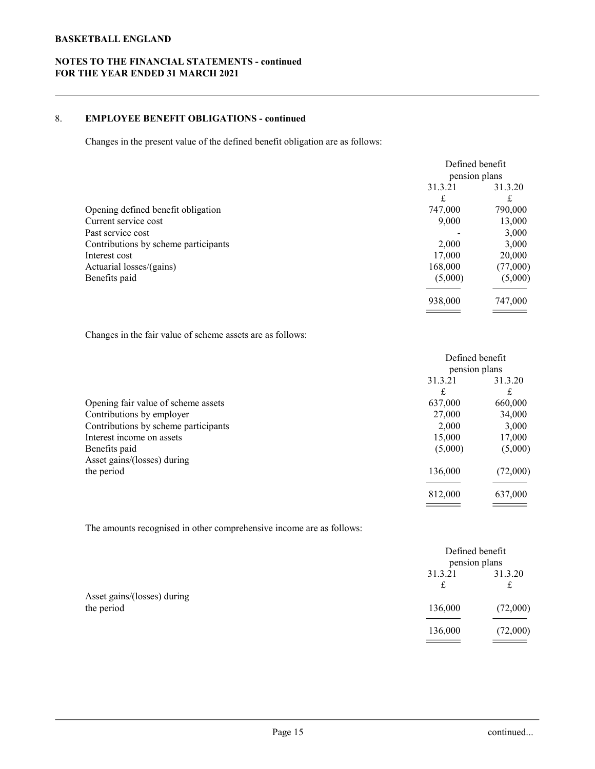# NOTES TO THE FINANCIAL STATEMENTS - continued FOR THE YEAR ENDED 31 MARCH 2021

# 8. EMPLOYEE BENEFIT OBLIGATIONS - continued

| <b>ETBALL ENGLAND</b>                                                                                                                                                                 |                                                                                                                                                                   |                                                                                                 |
|---------------------------------------------------------------------------------------------------------------------------------------------------------------------------------------|-------------------------------------------------------------------------------------------------------------------------------------------------------------------|-------------------------------------------------------------------------------------------------|
| <b>IS TO THE FINANCIAL STATEMENTS - continued</b><br>THE YEAR ENDED 31 MARCH 2021                                                                                                     |                                                                                                                                                                   |                                                                                                 |
| <b>EMPLOYEE BENEFIT OBLIGATIONS - continued</b>                                                                                                                                       |                                                                                                                                                                   |                                                                                                 |
| Changes in the present value of the defined benefit obligation are as follows:                                                                                                        |                                                                                                                                                                   |                                                                                                 |
| Opening defined benefit obligation<br>Current service cost<br>Past service cost<br>Contributions by scheme participants<br>Interest cost<br>Actuarial losses/(gains)<br>Benefits paid | Defined benefit<br>pension plans<br>31.3.21<br>$\mathbf f$<br>747,000<br>9,000<br>2,000<br>17,000<br>168,000<br>(5,000)<br>938,000<br>$\sim$ $\sim$ $\sim$ $\sim$ | 31.3.20<br>£<br>790,000<br>13,000<br>3,000<br>3,000<br>20,000<br>(77,000)<br>(5,000)<br>747,000 |
| Changes in the fair value of scheme assets are as follows:                                                                                                                            |                                                                                                                                                                   |                                                                                                 |
|                                                                                                                                                                                       | Defined benefit<br>pension plans<br>31.3.21<br>31.3.20<br>$\mathbf f$<br>$\pounds$                                                                                |                                                                                                 |
| Opening fair value of scheme assets<br>Contributions by employer<br>Contributions by scheme participants<br>Interest income on assets<br>Benefits paid                                | 637,000<br>27,000<br>2,000<br>15,000<br>(5,000)                                                                                                                   | 660,000<br>34,000<br>3,000<br>17,000<br>(5,000)                                                 |
| Asset gains/(losses) during<br>the period                                                                                                                                             | 136,000                                                                                                                                                           | (72,000)                                                                                        |

|                                                                      | pension plans                   |                              |  |
|----------------------------------------------------------------------|---------------------------------|------------------------------|--|
|                                                                      | 31.3.21                         | 31.3.20                      |  |
|                                                                      | $\pounds$                       | ${\bf f}$                    |  |
| Opening defined benefit obligation                                   | 747,000                         | 790,000                      |  |
| Current service cost                                                 | 9,000                           | 13,000                       |  |
| Past service cost                                                    |                                 | 3,000                        |  |
| Contributions by scheme participants                                 | 2,000                           | 3,000                        |  |
| Interest cost                                                        | 17,000                          | 20,000                       |  |
| Actuarial losses/(gains)                                             | 168,000                         | (77,000)                     |  |
| Benefits paid                                                        | (5,000)                         | (5,000)                      |  |
|                                                                      | 938,000<br>$\sim$ $\sim$ $\sim$ | 747,000                      |  |
| Changes in the fair value of scheme assets are as follows:           |                                 |                              |  |
|                                                                      | Defined benefit                 |                              |  |
|                                                                      |                                 |                              |  |
|                                                                      | pension plans                   |                              |  |
|                                                                      | 31.3.21                         | 31.3.20                      |  |
|                                                                      | $\pounds$                       | $\mathbf f$                  |  |
| Opening fair value of scheme assets                                  | 637,000                         | 660,000                      |  |
| Contributions by employer                                            | 27,000                          | 34,000                       |  |
| Contributions by scheme participants                                 | 2,000                           | 3,000                        |  |
| Interest income on assets                                            | 15,000                          | 17,000                       |  |
| Benefits paid                                                        | (5,000)                         | (5,000)                      |  |
| Asset gains/(losses) during                                          |                                 |                              |  |
| the period                                                           | 136,000                         | (72,000)                     |  |
|                                                                      | 812,000                         | 637,000                      |  |
|                                                                      | $\overline{\phantom{a}}$        |                              |  |
| The amounts recognised in other comprehensive income are as follows: |                                 |                              |  |
|                                                                      | Defined benefit                 |                              |  |
|                                                                      | pension plans                   |                              |  |
|                                                                      | 31.3.21<br>$\pounds$            | 31.3.20<br>${\bf f}$         |  |
| Asset gains/(losses) during                                          |                                 |                              |  |
| the period                                                           | 136,000                         | (72,000)                     |  |
|                                                                      | 136,000<br>$\qquad \qquad =$    | (72,000)<br>$\sim$ 100 $\mu$ |  |
|                                                                      |                                 |                              |  |
|                                                                      |                                 |                              |  |
|                                                                      |                                 |                              |  |

|                                                                      | 812,000                                     | 637,000                           |
|----------------------------------------------------------------------|---------------------------------------------|-----------------------------------|
| The amounts recognised in other comprehensive income are as follows: |                                             |                                   |
|                                                                      | Defined benefit<br>pension plans<br>31.3.21 | 31.3.20                           |
| Asset gains/(losses) during<br>the period                            | $\pounds$<br>136,000<br>136,000             | $\pounds$<br>(72,000)<br>(72,000) |
|                                                                      |                                             |                                   |
|                                                                      |                                             |                                   |
| Page 15                                                              |                                             | continued                         |
|                                                                      |                                             |                                   |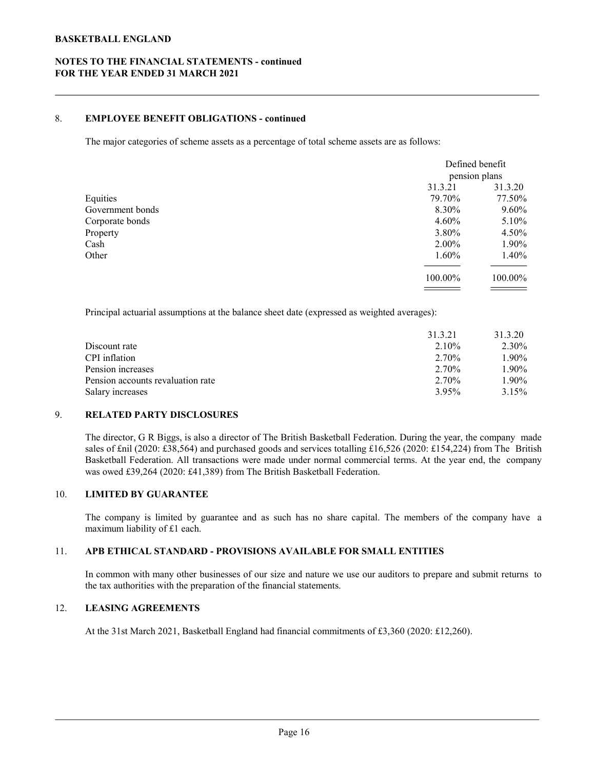# NOTES TO THE FINANCIAL STATEMENTS - continued FOR THE YEAR ENDED 31 MARCH 2021

# 8. EMPLOYEE BENEFIT OBLIGATIONS - continued

| <b>ETBALL ENGLAND</b>                                                                                                                                                                                                                                                                                                                                                                                                                  |                |                          |  |
|----------------------------------------------------------------------------------------------------------------------------------------------------------------------------------------------------------------------------------------------------------------------------------------------------------------------------------------------------------------------------------------------------------------------------------------|----------------|--------------------------|--|
| S TO THE FINANCIAL STATEMENTS - continued                                                                                                                                                                                                                                                                                                                                                                                              |                |                          |  |
| <b>HE YEAR ENDED 31 MARCH 2021</b>                                                                                                                                                                                                                                                                                                                                                                                                     |                |                          |  |
| <b>EMPLOYEE BENEFIT OBLIGATIONS - continued</b>                                                                                                                                                                                                                                                                                                                                                                                        |                |                          |  |
| The major categories of scheme assets as a percentage of total scheme assets are as follows:                                                                                                                                                                                                                                                                                                                                           |                |                          |  |
|                                                                                                                                                                                                                                                                                                                                                                                                                                        |                | Defined benefit          |  |
|                                                                                                                                                                                                                                                                                                                                                                                                                                        | 31.3.21        | pension plans<br>31.3.20 |  |
| Equities                                                                                                                                                                                                                                                                                                                                                                                                                               | 79.70%         | 77.50%                   |  |
| Government bonds                                                                                                                                                                                                                                                                                                                                                                                                                       | 8.30%          | 9.60%                    |  |
| Corporate bonds                                                                                                                                                                                                                                                                                                                                                                                                                        | 4.60%          | 5.10%                    |  |
| Property                                                                                                                                                                                                                                                                                                                                                                                                                               | 3.80%          | 4.50%                    |  |
| Cash                                                                                                                                                                                                                                                                                                                                                                                                                                   | 2.00%          | 1.90%                    |  |
| Other                                                                                                                                                                                                                                                                                                                                                                                                                                  | 1.60%          | 1.40%                    |  |
|                                                                                                                                                                                                                                                                                                                                                                                                                                        | 100.00%        | 100.00%<br>_____         |  |
| Principal actuarial assumptions at the balance sheet date (expressed as weighted averages):                                                                                                                                                                                                                                                                                                                                            |                |                          |  |
|                                                                                                                                                                                                                                                                                                                                                                                                                                        | 31.3.21        | 31.3.20                  |  |
| Discount rate                                                                                                                                                                                                                                                                                                                                                                                                                          | 2.10%          | 2.30%                    |  |
| CPI inflation                                                                                                                                                                                                                                                                                                                                                                                                                          | 2.70%          | 1.90%                    |  |
| Pension increases                                                                                                                                                                                                                                                                                                                                                                                                                      | 2.70%          | 1.90%                    |  |
| Pension accounts revaluation rate<br>Salary increases                                                                                                                                                                                                                                                                                                                                                                                  | 2.70%<br>3.95% | 1.90%<br>3.15%           |  |
| <b>RELATED PARTY DISCLOSURES</b>                                                                                                                                                                                                                                                                                                                                                                                                       |                |                          |  |
| The director, G R Biggs, is also a director of The British Basketball Federation. During the year, the company made<br>sales of £nil (2020: £38,564) and purchased goods and services totalling £16,526 (2020: £154,224) from The British<br>Basketball Federation. All transactions were made under normal commercial terms. At the year end, the company<br>was owed £39,264 (2020: £41,389) from The British Basketball Federation. |                |                          |  |
| <b>LIMITED BY GUARANTEE</b>                                                                                                                                                                                                                                                                                                                                                                                                            |                |                          |  |
| The company is limited by guarantee and as such has no share capital. The members of the company have a                                                                                                                                                                                                                                                                                                                                |                |                          |  |

|                                                                                                                                                                                                                                                                                                                                                                                                                                                                                                                                                                                                                                                       | 100.00% | 100.00% |
|-------------------------------------------------------------------------------------------------------------------------------------------------------------------------------------------------------------------------------------------------------------------------------------------------------------------------------------------------------------------------------------------------------------------------------------------------------------------------------------------------------------------------------------------------------------------------------------------------------------------------------------------------------|---------|---------|
|                                                                                                                                                                                                                                                                                                                                                                                                                                                                                                                                                                                                                                                       |         |         |
| Principal actuarial assumptions at the balance sheet date (expressed as weighted averages):                                                                                                                                                                                                                                                                                                                                                                                                                                                                                                                                                           |         |         |
|                                                                                                                                                                                                                                                                                                                                                                                                                                                                                                                                                                                                                                                       | 31.3.21 | 31.3.20 |
| Discount rate                                                                                                                                                                                                                                                                                                                                                                                                                                                                                                                                                                                                                                         | 2.10%   | 2.30%   |
| CPI inflation                                                                                                                                                                                                                                                                                                                                                                                                                                                                                                                                                                                                                                         | 2.70%   | 1.90%   |
| Pension increases                                                                                                                                                                                                                                                                                                                                                                                                                                                                                                                                                                                                                                     | 2.70%   | 1.90%   |
| Pension accounts revaluation rate                                                                                                                                                                                                                                                                                                                                                                                                                                                                                                                                                                                                                     | 2.70%   | 1.90%   |
| Salary increases                                                                                                                                                                                                                                                                                                                                                                                                                                                                                                                                                                                                                                      | 3.95%   | 3.15%   |
| <b>RELATED PARTY DISCLOSURES</b><br>The director, G R Biggs, is also a director of The British Basketball Federation. During the year, the company made<br>sales of £nil (2020: £38,564) and purchased goods and services totalling £16,526 (2020: £154,224) from The British<br>Basketball Federation. All transactions were made under normal commercial terms. At the year end, the company<br>was owed £39,264 (2020: £41,389) from The British Basketball Federation.<br><b>LIMITED BY GUARANTEE</b><br>The company is limited by guarantee and as such has no share capital. The members of the company have a<br>maximum liability of £1 each. |         |         |
| APB ETHICAL STANDARD - PROVISIONS AVAILABLE FOR SMALL ENTITIES                                                                                                                                                                                                                                                                                                                                                                                                                                                                                                                                                                                        |         |         |
| In common with many other businesses of our size and nature we use our auditors to prepare and submit returns to<br>the tax authorities with the preparation of the financial statements.                                                                                                                                                                                                                                                                                                                                                                                                                                                             |         |         |
| <b>LEASING AGREEMENTS</b>                                                                                                                                                                                                                                                                                                                                                                                                                                                                                                                                                                                                                             |         |         |
| At the 31st March 2021, Basketball England had financial commitments of £3,360 (2020: £12,260).                                                                                                                                                                                                                                                                                                                                                                                                                                                                                                                                                       |         |         |

#### 9. RELATED PARTY DISCLOSURES

# 10. LIMITED BY GUARANTEE

#### 11. APB ETHICAL STANDARD - PROVISIONS AVAILABLE FOR SMALL ENTITIES

#### 12. LEASING AGREEMENTS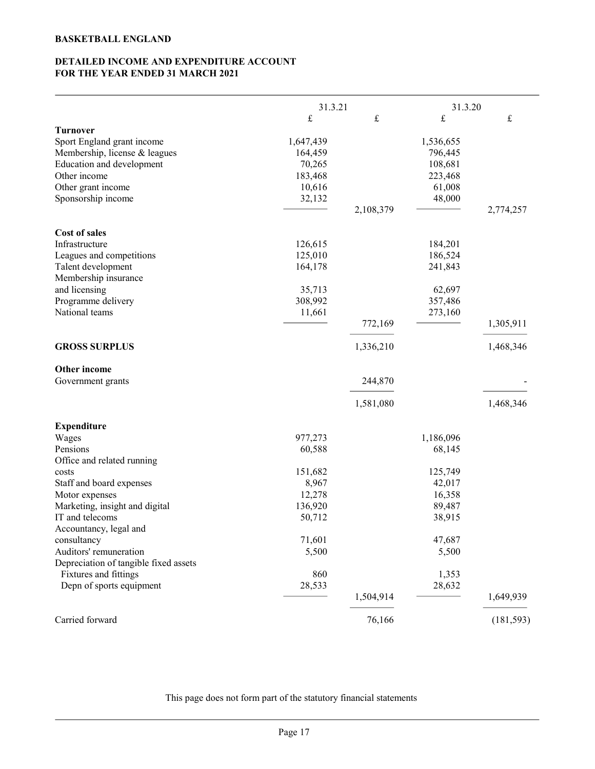# DETAILED INCOME AND EXPENDITURE ACCOUNT FOR THE YEAR ENDED 31 MARCH 2021

|                                                                                                                                                                         | FOR THE YEAR ENDED 31 MARCH 2021                              |           |                                                                |            |  |
|-------------------------------------------------------------------------------------------------------------------------------------------------------------------------|---------------------------------------------------------------|-----------|----------------------------------------------------------------|------------|--|
|                                                                                                                                                                         |                                                               | 31.3.21   |                                                                | 31.3.20    |  |
|                                                                                                                                                                         | $\pounds$                                                     | $\pounds$ | $\mathbf f$                                                    | $\pounds$  |  |
| <b>Turnover</b><br>Sport England grant income<br>Membership, license & leagues<br>Education and development<br>Other income<br>Other grant income<br>Sponsorship income | 1,647,439<br>164,459<br>70,265<br>183,468<br>10,616<br>32,132 |           | 1,536,655<br>796,445<br>108,681<br>223,468<br>61,008<br>48,000 |            |  |
|                                                                                                                                                                         |                                                               | 2,108,379 |                                                                | 2,774,257  |  |
| Cost of sales<br>Infrastructure<br>Leagues and competitions<br>Talent development<br>Membership insurance<br>and licensing<br>Programme delivery<br>National teams      | 126,615<br>125,010<br>164,178<br>35,713<br>308,992<br>11,661  |           | 184,201<br>186,524<br>241,843<br>62,697<br>357,486<br>273,160  |            |  |
|                                                                                                                                                                         |                                                               | 772,169   |                                                                | 1,305,911  |  |
|                                                                                                                                                                         |                                                               |           |                                                                |            |  |
| <b>GROSS SURPLUS</b>                                                                                                                                                    |                                                               | 1,336,210 |                                                                | 1,468,346  |  |
|                                                                                                                                                                         |                                                               |           |                                                                |            |  |
| Other income<br>Government grants                                                                                                                                       |                                                               | 244,870   |                                                                |            |  |
|                                                                                                                                                                         |                                                               |           |                                                                |            |  |
|                                                                                                                                                                         |                                                               | 1,581,080 |                                                                | 1,468,346  |  |
|                                                                                                                                                                         |                                                               |           |                                                                |            |  |
| <b>Expenditure</b><br>Wages                                                                                                                                             | 977,273                                                       |           | 1,186,096                                                      |            |  |
| Pensions                                                                                                                                                                | 60,588                                                        |           | 68,145                                                         |            |  |
| Office and related running                                                                                                                                              |                                                               |           |                                                                |            |  |
| costs                                                                                                                                                                   | 151,682                                                       |           | 125,749                                                        |            |  |
| Staff and board expenses                                                                                                                                                | 8,967                                                         |           | 42,017                                                         |            |  |
| Motor expenses                                                                                                                                                          | 12,278                                                        |           | 16,358                                                         |            |  |
| Marketing, insight and digital                                                                                                                                          | 136,920                                                       |           | 89,487                                                         |            |  |
| IT and telecoms                                                                                                                                                         | 50,712                                                        |           | 38,915                                                         |            |  |
| Accountancy, legal and                                                                                                                                                  |                                                               |           |                                                                |            |  |
| consultancy                                                                                                                                                             | 71,601                                                        |           | 47,687                                                         |            |  |
| Auditors' remuneration                                                                                                                                                  | 5,500                                                         |           | 5,500                                                          |            |  |
| Depreciation of tangible fixed assets                                                                                                                                   |                                                               |           |                                                                |            |  |
| Fixtures and fittings                                                                                                                                                   | 860                                                           |           | 1,353                                                          |            |  |
| Depn of sports equipment                                                                                                                                                | 28,533                                                        |           | 28,632                                                         |            |  |
|                                                                                                                                                                         |                                                               | 1,504,914 |                                                                | 1,649,939  |  |
|                                                                                                                                                                         |                                                               |           |                                                                |            |  |
| Carried forward                                                                                                                                                         |                                                               | 76,166    |                                                                | (181, 593) |  |

This page does not form part of the statutory financial statements